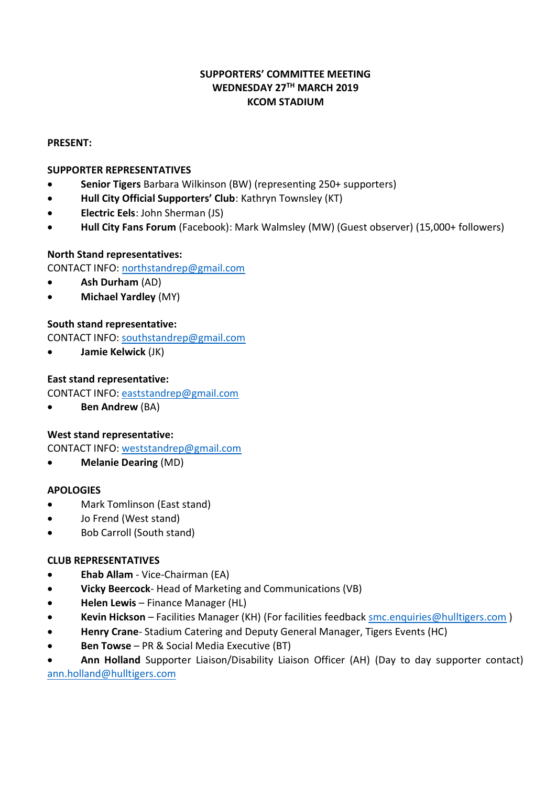# **SUPPORTERS' COMMITTEE MEETING WEDNESDAY 27TH MARCH 2019 KCOM STADIUM**

### **PRESENT:**

# **SUPPORTER REPRESENTATIVES**

- **Senior Tigers** Barbara Wilkinson (BW) (representing 250+ supporters)
- **Hull City Official Supporters' Club**: Kathryn Townsley (KT)
- **Electric Eels**: John Sherman (JS)
- **Hull City Fans Forum** (Facebook): Mark Walmsley (MW) (Guest observer) (15,000+ followers)

# **North Stand representatives:**

CONTACT INFO: [northstandrep@gmail.com](mailto:northstandrep@gmail.com)

- **Ash Durham** (AD)
- **Michael Yardley** (MY)

# **South stand representative:**

CONTACT INFO: [southstandrep@gmail.com](mailto:southstandrep@gmail.com)

**Jamie Kelwick** (JK)

# **East stand representative:**

CONTACT INFO: [eaststandrep@gmail.com](mailto:eaststandrep@gmail.com)

**Ben Andrew** (BA)

### **West stand representative:**

CONTACT INFO: [weststandrep@gmail.com](mailto:weststandrep@gmail.com)

**Melanie Dearing** (MD)

### **APOLOGIES**

- Mark Tomlinson (East stand)
- Jo Frend (West stand)
- Bob Carroll (South stand)

# **CLUB REPRESENTATIVES**

- **Ehab Allam** Vice-Chairman (EA)
- **Vicky Beercock** Head of Marketing and Communications (VB)
- **Helen Lewis** Finance Manager (HL)
- **Kevin Hickson** Facilities Manager (KH) (For facilities feedback [smc.enquiries@hulltigers.com](mailto:smc.enquiries@hulltigers.com) )
- **Henry Crane** Stadium Catering and Deputy General Manager, Tigers Events (HC)
- **Ben Towse** PR & Social Media Executive (BT)

 **Ann Holland** Supporter Liaison/Disability Liaison Officer (AH) (Day to day supporter contact) [ann.holland@hulltigers.com](mailto:ann.holland@hulltigers.com)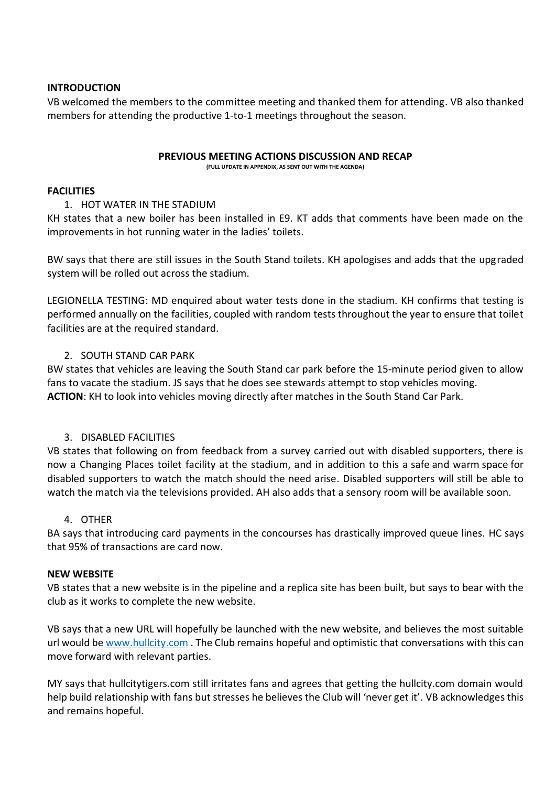### **INTRODUCTION**

VB welcomed the members to the committee meeting and thanked them for attending. VB also thanked members for attending the productive 1-to-1 meetings throughout the season.

#### **PREVIOUS MEETING ACTIONS DISCUSSION AND RECAP**

**(FULL UPDATE IN APPENDIX, AS SENT OUT WITH THE AGENDA)**

### **FACILITIES**

# 1. HOT WATER IN THE STADIUM

KH states that a new boiler has been installed in E9. KT adds that comments have been made on the improvements in hot running water in the ladies' toilets.

BW says that there are still issues in the South Stand toilets. KH apologises and adds that the upgraded system will be rolled out across the stadium.

LEGIONELLA TESTING: MD enquired about water tests done in the stadium. KH confirms that testing is performed annually on the facilities, coupled with random tests throughout the year to ensure that toilet facilities are at the required standard.

# 2. SOUTH STAND CAR PARK

BW states that vehicles are leaving the South Stand car park before the 15-minute period given to allow fans to vacate the stadium. JS says that he does see stewards attempt to stop vehicles moving. **ACTION**: KH to look into vehicles moving directly after matches in the South Stand Car Park.

# 3. DISABLED FACILITIES

VB states that following on from feedback from a survey carried out with disabled supporters, there is now a Changing Places toilet facility at the stadium, and in addition to this a safe and warm space for disabled supporters to watch the match should the need arise. Disabled supporters will still be able to watch the match via the televisions provided. AH also adds that a sensory room will be available soon.

### 4. OTHER

BA says that introducing card payments in the concourses has drastically improved queue lines. HC says that 95% of transactions are card now.

### **NEW WEBSITE**

VB states that a new website is in the pipeline and a replica site has been built, but says to bear with the club as it works to complete the new website.

VB says that a new URL will hopefully be launched with the new website, and believes the most suitable url would be [www.hullcity.com](http://www.hullcity.com/) . The Club remains hopeful and optimistic that conversations with this can move forward with relevant parties.

MY says that hullcitytigers.com still irritates fans and agrees that getting the hullcity.com domain would help build relationship with fans but stresses he believes the Club will 'never get it'. VB acknowledges this and remains hopeful.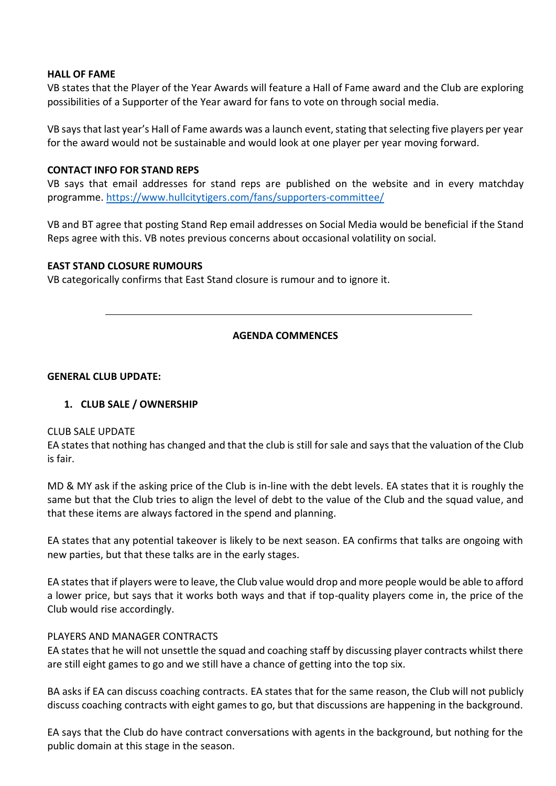### **HALL OF FAME**

VB states that the Player of the Year Awards will feature a Hall of Fame award and the Club are exploring possibilities of a Supporter of the Year award for fans to vote on through social media.

VB says that last year's Hall of Fame awards was a launch event, stating that selecting five players per year for the award would not be sustainable and would look at one player per year moving forward.

### **CONTACT INFO FOR STAND REPS**

VB says that email addresses for stand reps are published on the website and in every matchday programme.<https://www.hullcitytigers.com/fans/supporters-committee/>

VB and BT agree that posting Stand Rep email addresses on Social Media would be beneficial if the Stand Reps agree with this. VB notes previous concerns about occasional volatility on social.

### **EAST STAND CLOSURE RUMOURS**

VB categorically confirms that East Stand closure is rumour and to ignore it.

# **AGENDA COMMENCES**

### **GENERAL CLUB UPDATE:**

# **1. CLUB SALE / OWNERSHIP**

### CLUB SALE UPDATE

EA states that nothing has changed and that the club is still for sale and says that the valuation of the Club is fair.

MD & MY ask if the asking price of the Club is in-line with the debt levels. EA states that it is roughly the same but that the Club tries to align the level of debt to the value of the Club and the squad value, and that these items are always factored in the spend and planning.

EA states that any potential takeover is likely to be next season. EA confirms that talks are ongoing with new parties, but that these talks are in the early stages.

EA states that if players were to leave, the Club value would drop and more people would be able to afford a lower price, but says that it works both ways and that if top-quality players come in, the price of the Club would rise accordingly.

### PLAYERS AND MANAGER CONTRACTS

EA states that he will not unsettle the squad and coaching staff by discussing player contracts whilst there are still eight games to go and we still have a chance of getting into the top six.

BA asks if EA can discuss coaching contracts. EA states that for the same reason, the Club will not publicly discuss coaching contracts with eight games to go, but that discussions are happening in the background.

EA says that the Club do have contract conversations with agents in the background, but nothing for the public domain at this stage in the season.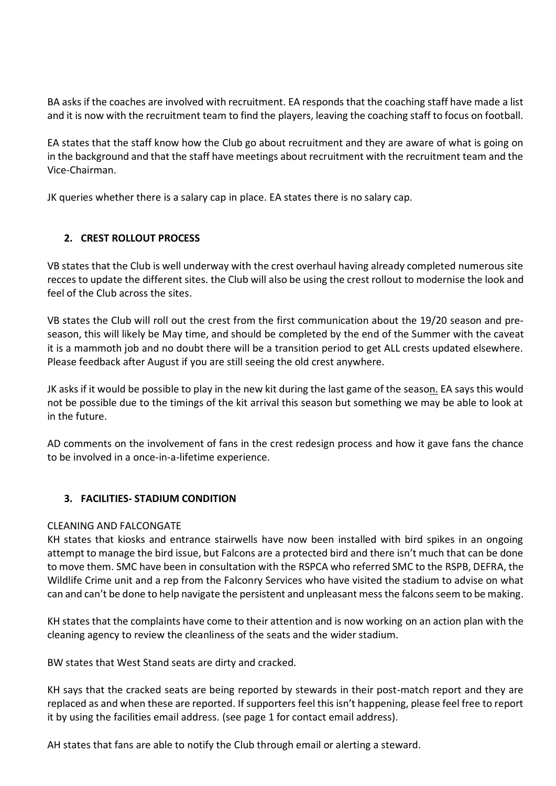BA asks if the coaches are involved with recruitment. EA responds that the coaching staff have made a list and it is now with the recruitment team to find the players, leaving the coaching staff to focus on football.

EA states that the staff know how the Club go about recruitment and they are aware of what is going on in the background and that the staff have meetings about recruitment with the recruitment team and the Vice-Chairman.

JK queries whether there is a salary cap in place. EA states there is no salary cap.

# **2. CREST ROLLOUT PROCESS**

VB states that the Club is well underway with the crest overhaul having already completed numerous site recces to update the different sites. the Club will also be using the crest rollout to modernise the look and feel of the Club across the sites.

VB states the Club will roll out the crest from the first communication about the 19/20 season and preseason, this will likely be May time, and should be completed by the end of the Summer with the caveat it is a mammoth job and no doubt there will be a transition period to get ALL crests updated elsewhere. Please feedback after August if you are still seeing the old crest anywhere.

JK asks if it would be possible to play in the new kit during the last game of the season. EA says this would not be possible due to the timings of the kit arrival this season but something we may be able to look at in the future.

AD comments on the involvement of fans in the crest redesign process and how it gave fans the chance to be involved in a once-in-a-lifetime experience.

# **3. FACILITIES- STADIUM CONDITION**

# CLEANING AND FALCONGATE

KH states that kiosks and entrance stairwells have now been installed with bird spikes in an ongoing attempt to manage the bird issue, but Falcons are a protected bird and there isn't much that can be done to move them. SMC have been in consultation with the RSPCA who referred SMC to the RSPB, DEFRA, the Wildlife Crime unit and a rep from the Falconry Services who have visited the stadium to advise on what can and can't be done to help navigate the persistent and unpleasant mess the falcons seem to be making.

KH states that the complaints have come to their attention and is now working on an action plan with the cleaning agency to review the cleanliness of the seats and the wider stadium.

BW states that West Stand seats are dirty and cracked.

KH says that the cracked seats are being reported by stewards in their post-match report and they are replaced as and when these are reported. If supporters feel this isn't happening, please feel free to report it by using the facilities email address. (see page 1 for contact email address).

AH states that fans are able to notify the Club through email or alerting a steward.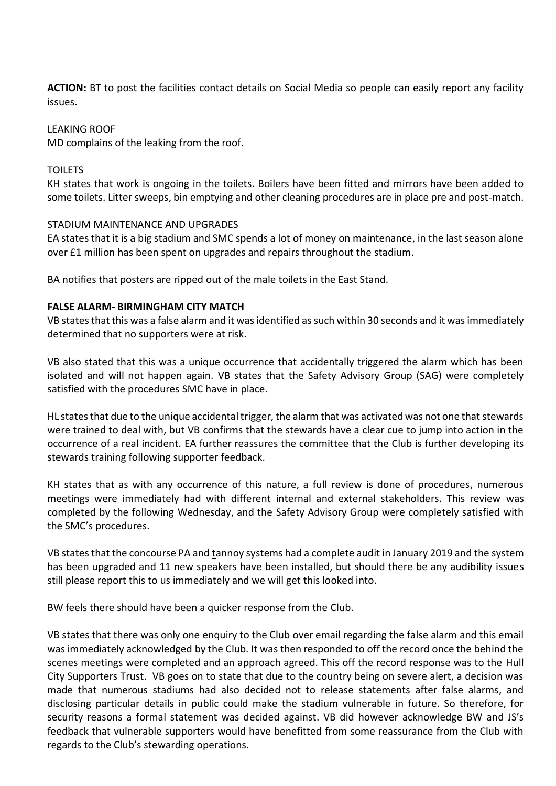**ACTION:** BT to post the facilities contact details on Social Media so people can easily report any facility issues.

#### LEAKING ROOF

MD complains of the leaking from the roof.

#### TOILETS

KH states that work is ongoing in the toilets. Boilers have been fitted and mirrors have been added to some toilets. Litter sweeps, bin emptying and other cleaning procedures are in place pre and post-match.

#### STADIUM MAINTENANCE AND UPGRADES

EA states that it is a big stadium and SMC spends a lot of money on maintenance, in the last season alone over £1 million has been spent on upgrades and repairs throughout the stadium.

BA notifies that posters are ripped out of the male toilets in the East Stand.

#### **FALSE ALARM- BIRMINGHAM CITY MATCH**

VB states that this was a false alarm and it was identified as such within 30 seconds and it was immediately determined that no supporters were at risk.

VB also stated that this was a unique occurrence that accidentally triggered the alarm which has been isolated and will not happen again. VB states that the Safety Advisory Group (SAG) were completely satisfied with the procedures SMC have in place.

HL states that due to the unique accidental trigger, the alarm that was activated was not one that stewards were trained to deal with, but VB confirms that the stewards have a clear cue to jump into action in the occurrence of a real incident. EA further reassures the committee that the Club is further developing its stewards training following supporter feedback.

KH states that as with any occurrence of this nature, a full review is done of procedures, numerous meetings were immediately had with different internal and external stakeholders. This review was completed by the following Wednesday, and the Safety Advisory Group were completely satisfied with the SMC's procedures.

VB states that the concourse PA and tannoy systems had a complete audit in January 2019 and the system has been upgraded and 11 new speakers have been installed, but should there be any audibility issues still please report this to us immediately and we will get this looked into.

BW feels there should have been a quicker response from the Club.

VB states that there was only one enquiry to the Club over email regarding the false alarm and this email was immediately acknowledged by the Club. It was then responded to off the record once the behind the scenes meetings were completed and an approach agreed. This off the record response was to the Hull City Supporters Trust. VB goes on to state that due to the country being on severe alert, a decision was made that numerous stadiums had also decided not to release statements after false alarms, and disclosing particular details in public could make the stadium vulnerable in future. So therefore, for security reasons a formal statement was decided against. VB did however acknowledge BW and JS's feedback that vulnerable supporters would have benefitted from some reassurance from the Club with regards to the Club's stewarding operations.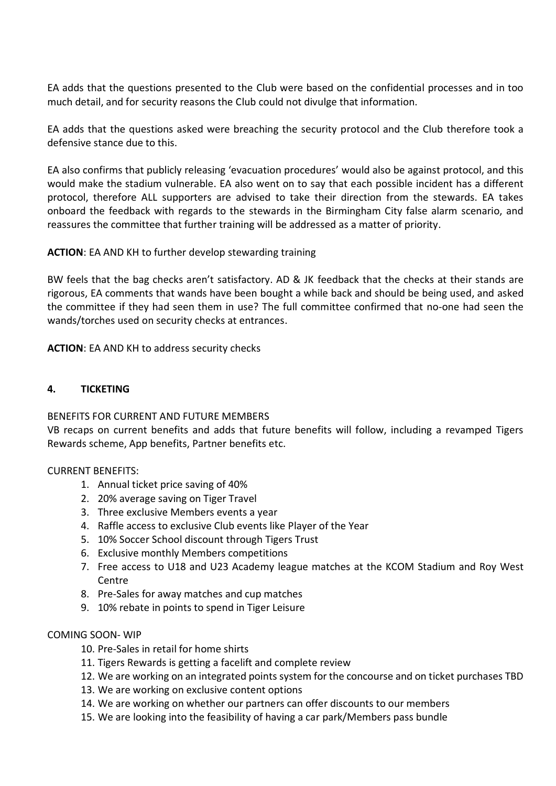EA adds that the questions presented to the Club were based on the confidential processes and in too much detail, and for security reasons the Club could not divulge that information.

EA adds that the questions asked were breaching the security protocol and the Club therefore took a defensive stance due to this.

EA also confirms that publicly releasing 'evacuation procedures' would also be against protocol, and this would make the stadium vulnerable. EA also went on to say that each possible incident has a different protocol, therefore ALL supporters are advised to take their direction from the stewards. EA takes onboard the feedback with regards to the stewards in the Birmingham City false alarm scenario, and reassures the committee that further training will be addressed as a matter of priority.

**ACTION**: EA AND KH to further develop stewarding training

BW feels that the bag checks aren't satisfactory. AD & JK feedback that the checks at their stands are rigorous, EA comments that wands have been bought a while back and should be being used, and asked the committee if they had seen them in use? The full committee confirmed that no-one had seen the wands/torches used on security checks at entrances.

**ACTION**: EA AND KH to address security checks

### **4. TICKETING**

### BENEFITS FOR CURRENT AND FUTURE MEMBERS

VB recaps on current benefits and adds that future benefits will follow, including a revamped Tigers Rewards scheme, App benefits, Partner benefits etc.

### CURRENT BENEFITS:

- 1. Annual ticket price saving of 40%
- 2. 20% average saving on Tiger Travel
- 3. Three exclusive Members events a year
- 4. Raffle access to exclusive Club events like Player of the Year
- 5. 10% Soccer School discount through Tigers Trust
- 6. Exclusive monthly Members competitions
- 7. Free access to U18 and U23 Academy league matches at the KCOM Stadium and Roy West Centre
- 8. Pre-Sales for away matches and cup matches
- 9. 10% rebate in points to spend in Tiger Leisure

### COMING SOON- WIP

- 10. Pre-Sales in retail for home shirts
- 11. Tigers Rewards is getting a facelift and complete review
- 12. We are working on an integrated points system for the concourse and on ticket purchases TBD
- 13. We are working on exclusive content options
- 14. We are working on whether our partners can offer discounts to our members
- 15. We are looking into the feasibility of having a car park/Members pass bundle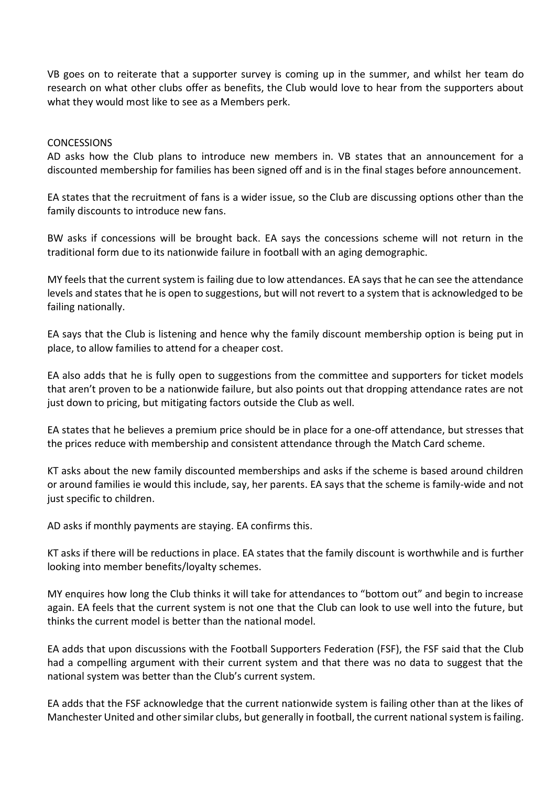VB goes on to reiterate that a supporter survey is coming up in the summer, and whilst her team do research on what other clubs offer as benefits, the Club would love to hear from the supporters about what they would most like to see as a Members perk.

#### **CONCESSIONS**

AD asks how the Club plans to introduce new members in. VB states that an announcement for a discounted membership for families has been signed off and is in the final stages before announcement.

EA states that the recruitment of fans is a wider issue, so the Club are discussing options other than the family discounts to introduce new fans.

BW asks if concessions will be brought back. EA says the concessions scheme will not return in the traditional form due to its nationwide failure in football with an aging demographic.

MY feels that the current system is failing due to low attendances. EA says that he can see the attendance levels and states that he is open to suggestions, but will not revert to a system that is acknowledged to be failing nationally.

EA says that the Club is listening and hence why the family discount membership option is being put in place, to allow families to attend for a cheaper cost.

EA also adds that he is fully open to suggestions from the committee and supporters for ticket models that aren't proven to be a nationwide failure, but also points out that dropping attendance rates are not just down to pricing, but mitigating factors outside the Club as well.

EA states that he believes a premium price should be in place for a one-off attendance, but stresses that the prices reduce with membership and consistent attendance through the Match Card scheme.

KT asks about the new family discounted memberships and asks if the scheme is based around children or around families ie would this include, say, her parents. EA says that the scheme is family-wide and not just specific to children.

AD asks if monthly payments are staying. EA confirms this.

KT asks if there will be reductions in place. EA states that the family discount is worthwhile and is further looking into member benefits/loyalty schemes.

MY enquires how long the Club thinks it will take for attendances to "bottom out" and begin to increase again. EA feels that the current system is not one that the Club can look to use well into the future, but thinks the current model is better than the national model.

EA adds that upon discussions with the Football Supporters Federation (FSF), the FSF said that the Club had a compelling argument with their current system and that there was no data to suggest that the national system was better than the Club's current system.

EA adds that the FSF acknowledge that the current nationwide system is failing other than at the likes of Manchester United and other similar clubs, but generally in football, the current national system is failing.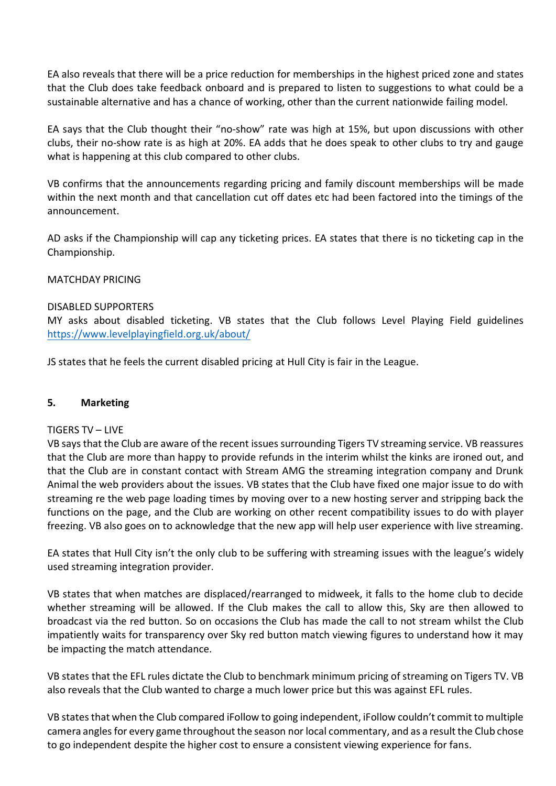EA also reveals that there will be a price reduction for memberships in the highest priced zone and states that the Club does take feedback onboard and is prepared to listen to suggestions to what could be a sustainable alternative and has a chance of working, other than the current nationwide failing model.

EA says that the Club thought their "no-show" rate was high at 15%, but upon discussions with other clubs, their no-show rate is as high at 20%. EA adds that he does speak to other clubs to try and gauge what is happening at this club compared to other clubs.

VB confirms that the announcements regarding pricing and family discount memberships will be made within the next month and that cancellation cut off dates etc had been factored into the timings of the announcement.

AD asks if the Championship will cap any ticketing prices. EA states that there is no ticketing cap in the Championship.

# MATCHDAY PRICING

### DISABLED SUPPORTERS

MY asks about disabled ticketing. VB states that the Club follows Level Playing Field guidelines <https://www.levelplayingfield.org.uk/about/>

JS states that he feels the current disabled pricing at Hull City is fair in the League.

### **5. Marketing**

### TIGERS TV – LIVE

VB says that the Club are aware of the recent issues surrounding Tigers TV streaming service. VB reassures that the Club are more than happy to provide refunds in the interim whilst the kinks are ironed out, and that the Club are in constant contact with Stream AMG the streaming integration company and Drunk Animal the web providers about the issues. VB states that the Club have fixed one major issue to do with streaming re the web page loading times by moving over to a new hosting server and stripping back the functions on the page, and the Club are working on other recent compatibility issues to do with player freezing. VB also goes on to acknowledge that the new app will help user experience with live streaming.

EA states that Hull City isn't the only club to be suffering with streaming issues with the league's widely used streaming integration provider.

VB states that when matches are displaced/rearranged to midweek, it falls to the home club to decide whether streaming will be allowed. If the Club makes the call to allow this, Sky are then allowed to broadcast via the red button. So on occasions the Club has made the call to not stream whilst the Club impatiently waits for transparency over Sky red button match viewing figures to understand how it may be impacting the match attendance.

VB states that the EFL rules dictate the Club to benchmark minimum pricing of streaming on Tigers TV. VB also reveals that the Club wanted to charge a much lower price but this was against EFL rules.

VB states that when the Club compared iFollow to going independent, iFollow couldn't commit to multiple camera angles for every game throughout the season nor local commentary, and as a result the Club chose to go independent despite the higher cost to ensure a consistent viewing experience for fans.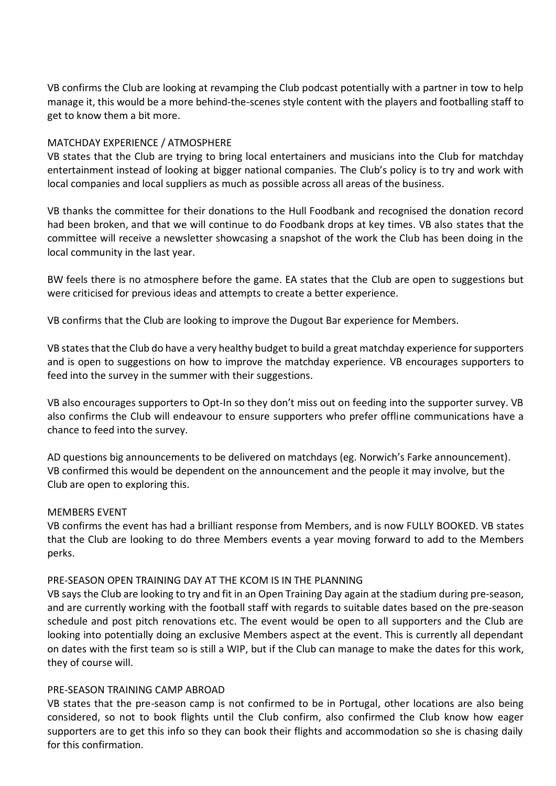VB confirms the Club are looking at revamping the Club podcast potentially with a partner in tow to help manage it, this would be a more behind-the-scenes style content with the players and footballing staff to get to know them a bit more.

# MATCHDAY EXPERIENCE / ATMOSPHERE

VB states that the Club are trying to bring local entertainers and musicians into the Club for matchday entertainment instead of looking at bigger national companies. The Club's policy is to try and work with local companies and local suppliers as much as possible across all areas of the business.

VB thanks the committee for their donations to the Hull Foodbank and recognised the donation record had been broken, and that we will continue to do Foodbank drops at key times. VB also states that the committee will receive a newsletter showcasing a snapshot of the work the Club has been doing in the local community in the last year.

BW feels there is no atmosphere before the game. EA states that the Club are open to suggestions but were criticised for previous ideas and attempts to create a better experience.

VB confirms that the Club are looking to improve the Dugout Bar experience for Members.

VB states that the Club do have a very healthy budget to build a great matchday experience for supporters and is open to suggestions on how to improve the matchday experience. VB encourages supporters to feed into the survey in the summer with their suggestions.

VB also encourages supporters to Opt-In so they don't miss out on feeding into the supporter survey. VB also confirms the Club will endeavour to ensure supporters who prefer offline communications have a chance to feed into the survey.

AD questions big announcements to be delivered on matchdays (eg. Norwich's Farke announcement). VB confirmed this would be dependent on the announcement and the people it may involve, but the Club are open to exploring this.

### MEMBERS EVENT

VB confirms the event has had a brilliant response from Members, and is now FULLY BOOKED. VB states that the Club are looking to do three Members events a year moving forward to add to the Members perks.

### PRE-SEASON OPEN TRAINING DAY AT THE KCOM IS IN THE PLANNING

VB says the Club are looking to try and fit in an Open Training Day again at the stadium during pre-season, and are currently working with the football staff with regards to suitable dates based on the pre-season schedule and post pitch renovations etc. The event would be open to all supporters and the Club are looking into potentially doing an exclusive Members aspect at the event. This is currently all dependant on dates with the first team so is still a WIP, but if the Club can manage to make the dates for this work, they of course will.

### PRE-SEASON TRAINING CAMP ABROAD

VB states that the pre-season camp is not confirmed to be in Portugal, other locations are also being considered, so not to book flights until the Club confirm, also confirmed the Club know how eager supporters are to get this info so they can book their flights and accommodation so she is chasing daily for this confirmation.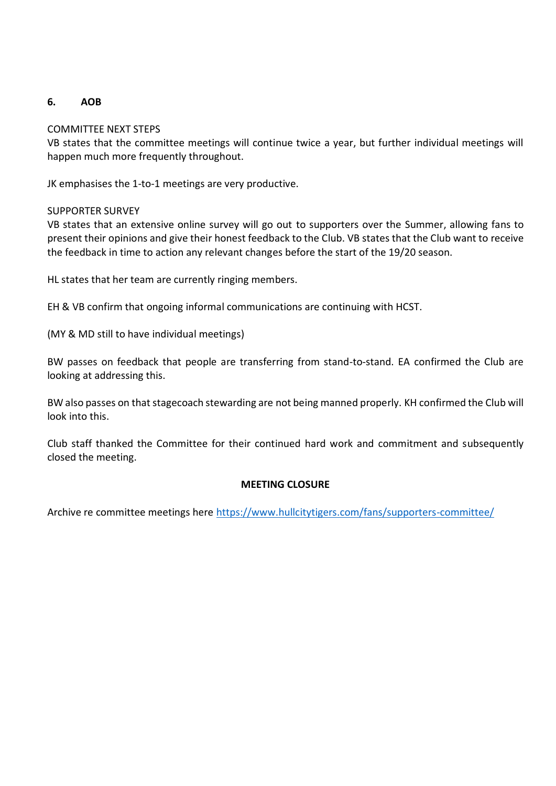# **6. AOB**

# COMMITTEE NEXT STEPS

VB states that the committee meetings will continue twice a year, but further individual meetings will happen much more frequently throughout.

JK emphasises the 1-to-1 meetings are very productive.

### SUPPORTER SURVEY

VB states that an extensive online survey will go out to supporters over the Summer, allowing fans to present their opinions and give their honest feedback to the Club. VB states that the Club want to receive the feedback in time to action any relevant changes before the start of the 19/20 season.

HL states that her team are currently ringing members.

EH & VB confirm that ongoing informal communications are continuing with HCST.

(MY & MD still to have individual meetings)

BW passes on feedback that people are transferring from stand-to-stand. EA confirmed the Club are looking at addressing this.

BW also passes on that stagecoach stewarding are not being manned properly. KH confirmed the Club will look into this.

Club staff thanked the Committee for their continued hard work and commitment and subsequently closed the meeting.

### **MEETING CLOSURE**

Archive re committee meetings here<https://www.hullcitytigers.com/fans/supporters-committee/>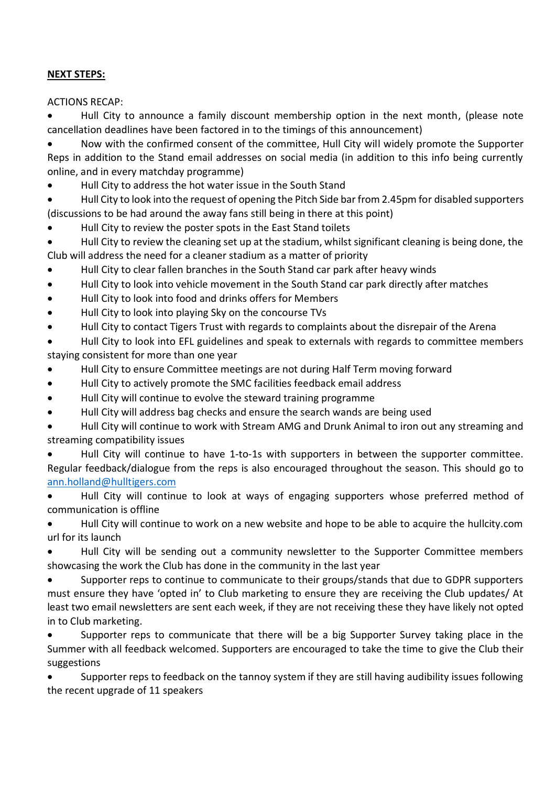# **NEXT STEPS:**

ACTIONS RECAP:

 Hull City to announce a family discount membership option in the next month, (please note cancellation deadlines have been factored in to the timings of this announcement)

 Now with the confirmed consent of the committee, Hull City will widely promote the Supporter Reps in addition to the Stand email addresses on social media (in addition to this info being currently online, and in every matchday programme)

Hull City to address the hot water issue in the South Stand

 Hull City to look into the request of opening the Pitch Side bar from 2.45pm for disabled supporters (discussions to be had around the away fans still being in there at this point)

- Hull City to review the poster spots in the East Stand toilets
- Hull City to review the cleaning set up at the stadium, whilst significant cleaning is being done, the Club will address the need for a cleaner stadium as a matter of priority
- Hull City to clear fallen branches in the South Stand car park after heavy winds
- Hull City to look into vehicle movement in the South Stand car park directly after matches
- Hull City to look into food and drinks offers for Members
- Hull City to look into playing Sky on the concourse TVs
- Hull City to contact Tigers Trust with regards to complaints about the disrepair of the Arena

 Hull City to look into EFL guidelines and speak to externals with regards to committee members staying consistent for more than one year

- Hull City to ensure Committee meetings are not during Half Term moving forward
- Hull City to actively promote the SMC facilities feedback email address
- Hull City will continue to evolve the steward training programme
- Hull City will address bag checks and ensure the search wands are being used

 Hull City will continue to work with Stream AMG and Drunk Animal to iron out any streaming and streaming compatibility issues

 Hull City will continue to have 1-to-1s with supporters in between the supporter committee. Regular feedback/dialogue from the reps is also encouraged throughout the season. This should go to [ann.holland@hulltigers.com](mailto:ann.holland@hulltigers.com)

 Hull City will continue to look at ways of engaging supporters whose preferred method of communication is offline

 Hull City will continue to work on a new website and hope to be able to acquire the hullcity.com url for its launch

 Hull City will be sending out a community newsletter to the Supporter Committee members showcasing the work the Club has done in the community in the last year

 Supporter reps to continue to communicate to their groups/stands that due to GDPR supporters must ensure they have 'opted in' to Club marketing to ensure they are receiving the Club updates/ At least two email newsletters are sent each week, if they are not receiving these they have likely not opted in to Club marketing.

 Supporter reps to communicate that there will be a big Supporter Survey taking place in the Summer with all feedback welcomed. Supporters are encouraged to take the time to give the Club their suggestions

 Supporter reps to feedback on the tannoy system if they are still having audibility issues following the recent upgrade of 11 speakers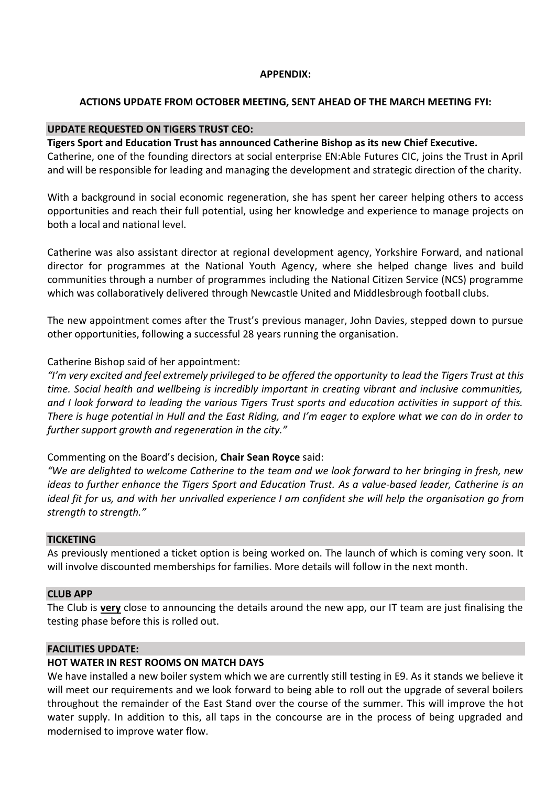### **APPENDIX:**

### **ACTIONS UPDATE FROM OCTOBER MEETING, SENT AHEAD OF THE MARCH MEETING FYI:**

### **UPDATE REQUESTED ON TIGERS TRUST CEO:**

### **Tigers Sport and Education Trust has announced Catherine Bishop as its new Chief Executive.**

Catherine, one of the founding directors at social enterprise EN:Able Futures CIC, joins the Trust in April and will be responsible for leading and managing the development and strategic direction of the charity.

With a background in social economic regeneration, she has spent her career helping others to access opportunities and reach their full potential, using her knowledge and experience to manage projects on both a local and national level.

Catherine was also assistant director at regional development agency, Yorkshire Forward, and national director for programmes at the National Youth Agency, where she helped change lives and build communities through a number of programmes including the National Citizen Service (NCS) programme which was collaboratively delivered through Newcastle United and Middlesbrough football clubs.

The new appointment comes after the Trust's previous manager, John Davies, stepped down to pursue other opportunities, following a successful 28 years running the organisation.

Catherine Bishop said of her appointment:

*"I'm very excited and feel extremely privileged to be offered the opportunity to lead the Tigers Trust at this time. Social health and wellbeing is incredibly important in creating vibrant and inclusive communities, and I look forward to leading the various Tigers Trust sports and education activities in support of this. There is huge potential in Hull and the East Riding, and I'm eager to explore what we can do in order to further support growth and regeneration in the city."*

#### Commenting on the Board's decision, **Chair Sean Royce** said:

*"We are delighted to welcome Catherine to the team and we look forward to her bringing in fresh, new ideas to further enhance the Tigers Sport and Education Trust. As a value-based leader, Catherine is an ideal fit for us, and with her unrivalled experience I am confident she will help the organisation go from strength to strength."*

#### **TICKETING**

As previously mentioned a ticket option is being worked on. The launch of which is coming very soon. It will involve discounted memberships for families. More details will follow in the next month.

#### **CLUB APP**

The Club is **very** close to announcing the details around the new app, our IT team are just finalising the testing phase before this is rolled out.

### **FACILITIES UPDATE:**

#### **HOT WATER IN REST ROOMS ON MATCH DAYS**

We have installed a new boiler system which we are currently still testing in E9. As it stands we believe it will meet our requirements and we look forward to being able to roll out the upgrade of several boilers throughout the remainder of the East Stand over the course of the summer. This will improve the hot water supply. In addition to this, all taps in the concourse are in the process of being upgraded and modernised to improve water flow.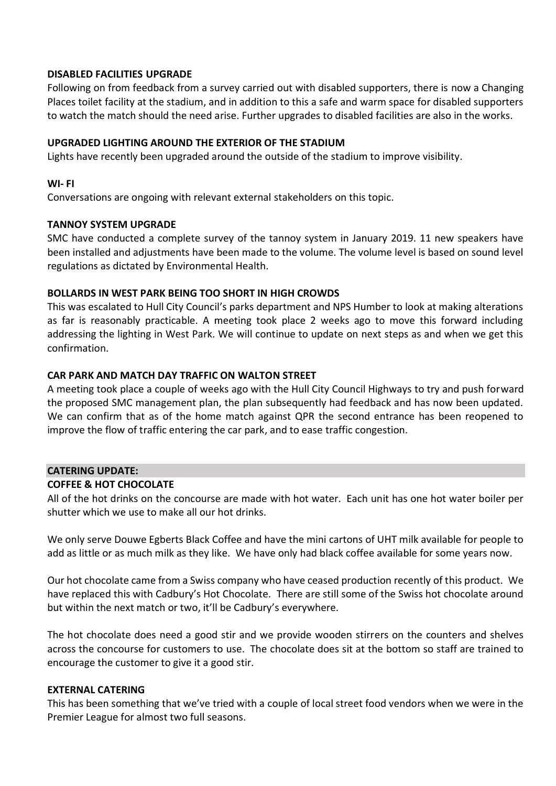### **DISABLED FACILITIES UPGRADE**

Following on from feedback from a survey carried out with disabled supporters, there is now a Changing Places toilet facility at the stadium, and in addition to this a safe and warm space for disabled supporters to watch the match should the need arise. Further upgrades to disabled facilities are also in the works.

# **UPGRADED LIGHTING AROUND THE EXTERIOR OF THE STADIUM**

Lights have recently been upgraded around the outside of the stadium to improve visibility.

### **WI- FI**

Conversations are ongoing with relevant external stakeholders on this topic.

# **TANNOY SYSTEM UPGRADE**

SMC have conducted a complete survey of the tannoy system in January 2019. 11 new speakers have been installed and adjustments have been made to the volume. The volume level is based on sound level regulations as dictated by Environmental Health.

# **BOLLARDS IN WEST PARK BEING TOO SHORT IN HIGH CROWDS**

This was escalated to Hull City Council's parks department and NPS Humber to look at making alterations as far is reasonably practicable. A meeting took place 2 weeks ago to move this forward including addressing the lighting in West Park. We will continue to update on next steps as and when we get this confirmation.

# **CAR PARK AND MATCH DAY TRAFFIC ON WALTON STREET**

A meeting took place a couple of weeks ago with the Hull City Council Highways to try and push forward the proposed SMC management plan, the plan subsequently had feedback and has now been updated. We can confirm that as of the home match against QPR the second entrance has been reopened to improve the flow of traffic entering the car park, and to ease traffic congestion.

### **CATERING UPDATE:**

### **COFFEE & HOT CHOCOLATE**

All of the hot drinks on the concourse are made with hot water. Each unit has one hot water boiler per shutter which we use to make all our hot drinks.

We only serve Douwe Egberts Black Coffee and have the mini cartons of UHT milk available for people to add as little or as much milk as they like. We have only had black coffee available for some years now.

Our hot chocolate came from a Swiss company who have ceased production recently of this product. We have replaced this with Cadbury's Hot Chocolate. There are still some of the Swiss hot chocolate around but within the next match or two, it'll be Cadbury's everywhere.

The hot chocolate does need a good stir and we provide wooden stirrers on the counters and shelves across the concourse for customers to use. The chocolate does sit at the bottom so staff are trained to encourage the customer to give it a good stir.

### **EXTERNAL CATERING**

This has been something that we've tried with a couple of local street food vendors when we were in the Premier League for almost two full seasons.